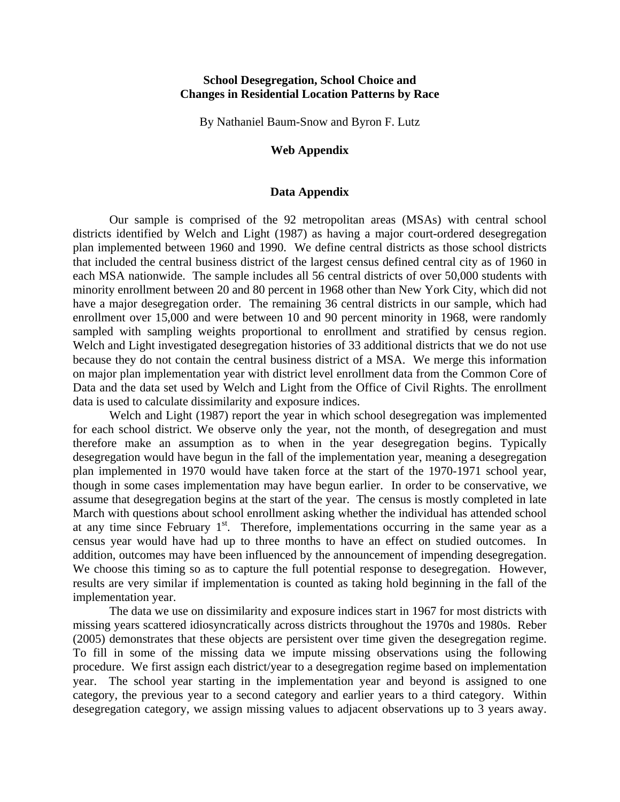## **School Desegregation, School Choice and Changes in Residential Location Patterns by Race**

By Nathaniel Baum-Snow and Byron F. Lutz

## **Web Appendix**

## **Data Appendix**

Our sample is comprised of the 92 metropolitan areas (MSAs) with central school districts identified by Welch and Light (1987) as having a major court-ordered desegregation plan implemented between 1960 and 1990. We define central districts as those school districts that included the central business district of the largest census defined central city as of 1960 in each MSA nationwide. The sample includes all 56 central districts of over 50,000 students with minority enrollment between 20 and 80 percent in 1968 other than New York City, which did not have a major desegregation order. The remaining 36 central districts in our sample, which had enrollment over 15,000 and were between 10 and 90 percent minority in 1968, were randomly sampled with sampling weights proportional to enrollment and stratified by census region. Welch and Light investigated desegregation histories of 33 additional districts that we do not use because they do not contain the central business district of a MSA. We merge this information on major plan implementation year with district level enrollment data from the Common Core of Data and the data set used by Welch and Light from the Office of Civil Rights. The enrollment data is used to calculate dissimilarity and exposure indices.

Welch and Light (1987) report the year in which school desegregation was implemented for each school district. We observe only the year, not the month, of desegregation and must therefore make an assumption as to when in the year desegregation begins. Typically desegregation would have begun in the fall of the implementation year, meaning a desegregation plan implemented in 1970 would have taken force at the start of the 1970-1971 school year, though in some cases implementation may have begun earlier. In order to be conservative, we assume that desegregation begins at the start of the year. The census is mostly completed in late March with questions about school enrollment asking whether the individual has attended school at any time since February  $1<sup>st</sup>$ . Therefore, implementations occurring in the same year as a census year would have had up to three months to have an effect on studied outcomes. In addition, outcomes may have been influenced by the announcement of impending desegregation. We choose this timing so as to capture the full potential response to desegregation. However, results are very similar if implementation is counted as taking hold beginning in the fall of the implementation year.

The data we use on dissimilarity and exposure indices start in 1967 for most districts with missing years scattered idiosyncratically across districts throughout the 1970s and 1980s. Reber (2005) demonstrates that these objects are persistent over time given the desegregation regime. To fill in some of the missing data we impute missing observations using the following procedure. We first assign each district/year to a desegregation regime based on implementation year. The school year starting in the implementation year and beyond is assigned to one category, the previous year to a second category and earlier years to a third category. Within desegregation category, we assign missing values to adjacent observations up to 3 years away.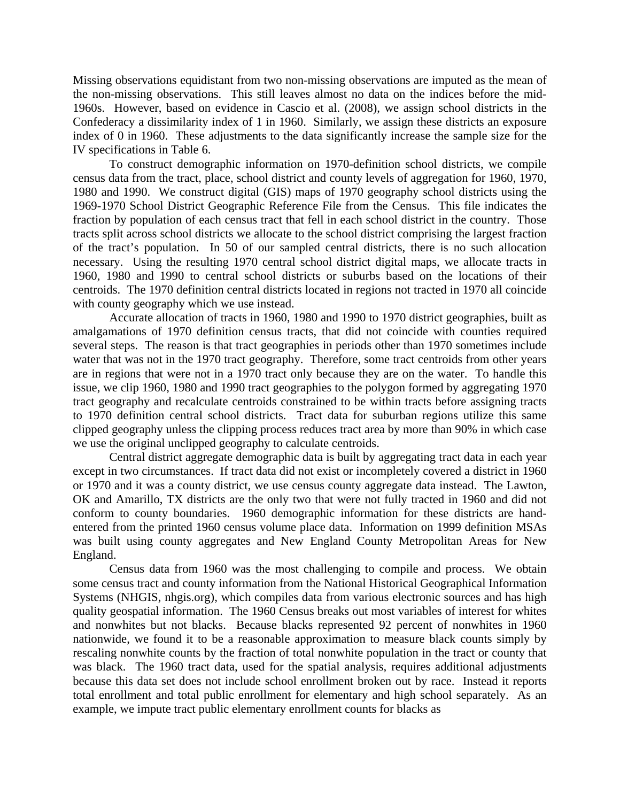Missing observations equidistant from two non-missing observations are imputed as the mean of the non-missing observations. This still leaves almost no data on the indices before the mid-1960s. However, based on evidence in Cascio et al. (2008), we assign school districts in the Confederacy a dissimilarity index of 1 in 1960. Similarly, we assign these districts an exposure index of 0 in 1960. These adjustments to the data significantly increase the sample size for the IV specifications in Table 6.

To construct demographic information on 1970-definition school districts, we compile census data from the tract, place, school district and county levels of aggregation for 1960, 1970, 1980 and 1990. We construct digital (GIS) maps of 1970 geography school districts using the 1969-1970 School District Geographic Reference File from the Census. This file indicates the fraction by population of each census tract that fell in each school district in the country. Those tracts split across school districts we allocate to the school district comprising the largest fraction of the tract's population. In 50 of our sampled central districts, there is no such allocation necessary. Using the resulting 1970 central school district digital maps, we allocate tracts in 1960, 1980 and 1990 to central school districts or suburbs based on the locations of their centroids. The 1970 definition central districts located in regions not tracted in 1970 all coincide with county geography which we use instead.

Accurate allocation of tracts in 1960, 1980 and 1990 to 1970 district geographies, built as amalgamations of 1970 definition census tracts, that did not coincide with counties required several steps. The reason is that tract geographies in periods other than 1970 sometimes include water that was not in the 1970 tract geography. Therefore, some tract centroids from other years are in regions that were not in a 1970 tract only because they are on the water. To handle this issue, we clip 1960, 1980 and 1990 tract geographies to the polygon formed by aggregating 1970 tract geography and recalculate centroids constrained to be within tracts before assigning tracts to 1970 definition central school districts. Tract data for suburban regions utilize this same clipped geography unless the clipping process reduces tract area by more than 90% in which case we use the original unclipped geography to calculate centroids.

Central district aggregate demographic data is built by aggregating tract data in each year except in two circumstances. If tract data did not exist or incompletely covered a district in 1960 or 1970 and it was a county district, we use census county aggregate data instead. The Lawton, OK and Amarillo, TX districts are the only two that were not fully tracted in 1960 and did not conform to county boundaries. 1960 demographic information for these districts are handentered from the printed 1960 census volume place data. Information on 1999 definition MSAs was built using county aggregates and New England County Metropolitan Areas for New England.

Census data from 1960 was the most challenging to compile and process. We obtain some census tract and county information from the National Historical Geographical Information Systems (NHGIS, nhgis.org), which compiles data from various electronic sources and has high quality geospatial information. The 1960 Census breaks out most variables of interest for whites and nonwhites but not blacks. Because blacks represented 92 percent of nonwhites in 1960 nationwide, we found it to be a reasonable approximation to measure black counts simply by rescaling nonwhite counts by the fraction of total nonwhite population in the tract or county that was black. The 1960 tract data, used for the spatial analysis, requires additional adjustments because this data set does not include school enrollment broken out by race. Instead it reports total enrollment and total public enrollment for elementary and high school separately. As an example, we impute tract public elementary enrollment counts for blacks as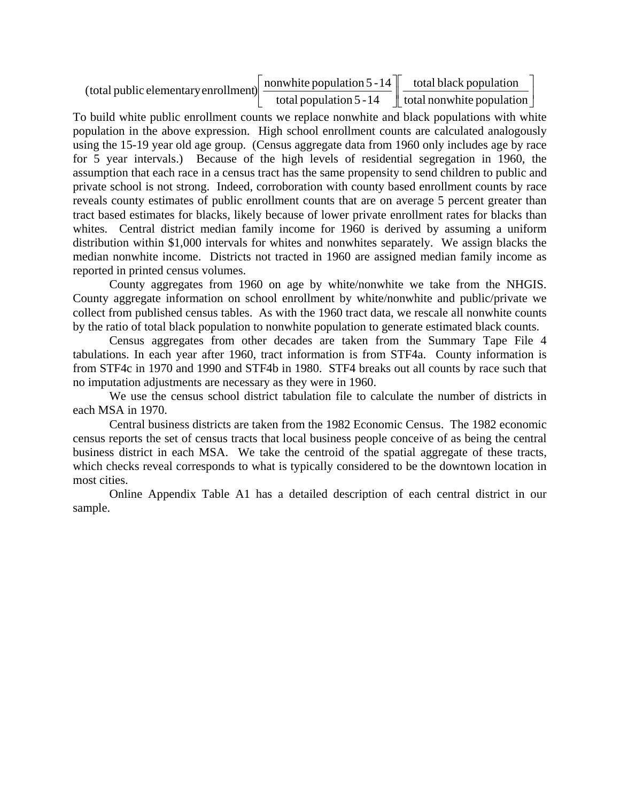$\overline{\phantom{a}}$ J  $\begin{array}{|c|c|c|c|}\n\hline\ntotal\,back\,population\end{array}$ L L  $\overline{\phantom{a}}$  $\rfloor$  $\boxed{\frac{nonwhite\,population\,5-14}{total\, population\,5-14}}$ L L total nonwhite population total black population total population 5 -14 (total public elementary enrollment)  $\frac{\text{nonwhite population 5 - 14}}{\text{1}}$ 

To build white public enrollment counts we replace nonwhite and black populations with white population in the above expression. High school enrollment counts are calculated analogously using the 15-19 year old age group. (Census aggregate data from 1960 only includes age by race for 5 year intervals.) Because of the high levels of residential segregation in 1960, the assumption that each race in a census tract has the same propensity to send children to public and private school is not strong. Indeed, corroboration with county based enrollment counts by race reveals county estimates of public enrollment counts that are on average 5 percent greater than tract based estimates for blacks, likely because of lower private enrollment rates for blacks than whites. Central district median family income for 1960 is derived by assuming a uniform distribution within \$1,000 intervals for whites and nonwhites separately. We assign blacks the median nonwhite income. Districts not tracted in 1960 are assigned median family income as reported in printed census volumes.

County aggregates from 1960 on age by white/nonwhite we take from the NHGIS. County aggregate information on school enrollment by white/nonwhite and public/private we collect from published census tables. As with the 1960 tract data, we rescale all nonwhite counts by the ratio of total black population to nonwhite population to generate estimated black counts.

Census aggregates from other decades are taken from the Summary Tape File 4 tabulations. In each year after 1960, tract information is from STF4a. County information is from STF4c in 1970 and 1990 and STF4b in 1980. STF4 breaks out all counts by race such that no imputation adjustments are necessary as they were in 1960.

We use the census school district tabulation file to calculate the number of districts in each MSA in 1970.

Central business districts are taken from the 1982 Economic Census. The 1982 economic census reports the set of census tracts that local business people conceive of as being the central business district in each MSA. We take the centroid of the spatial aggregate of these tracts, which checks reveal corresponds to what is typically considered to be the downtown location in most cities.

Online Appendix Table A1 has a detailed description of each central district in our sample.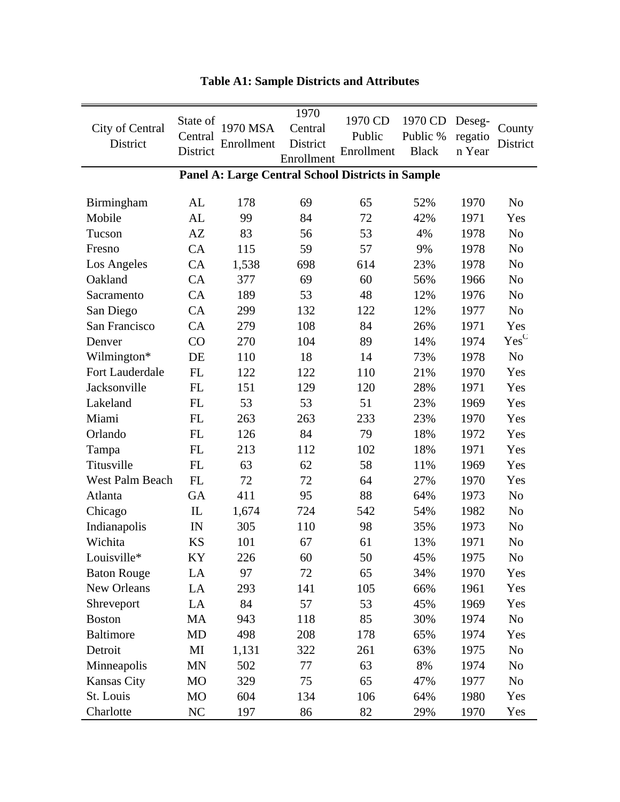| City of Central<br>District | State of<br>Central<br>District | 1970 MSA<br>Enrollment | 1970<br>Central<br>District<br>Enrollment | 1970 CD<br>Public<br>Enrollment                          | 1970 CD<br>Public %<br><b>Black</b> | Deseg-<br>regatio<br>n Year | County<br>District        |
|-----------------------------|---------------------------------|------------------------|-------------------------------------------|----------------------------------------------------------|-------------------------------------|-----------------------------|---------------------------|
|                             |                                 |                        |                                           | <b>Panel A: Large Central School Districts in Sample</b> |                                     |                             |                           |
| Birmingham                  | AL                              | 178                    | 69                                        | 65                                                       | 52%                                 | 1970                        | N <sub>o</sub>            |
| Mobile                      | AL                              | 99                     | 84                                        | 72                                                       | 42%                                 | 1971                        | Yes                       |
| Tucson                      | AZ                              | 83                     | 56                                        | 53                                                       | 4%                                  | 1978                        | N <sub>o</sub>            |
| Fresno                      | CA                              | 115                    | 59                                        | 57                                                       | 9%                                  | 1978                        | No                        |
| Los Angeles                 | CA                              | 1,538                  | 698                                       | 614                                                      | 23%                                 | 1978                        | N <sub>o</sub>            |
| Oakland                     | CA                              | 377                    | 69                                        | 60                                                       | 56%                                 | 1966                        | N <sub>o</sub>            |
| Sacramento                  | CA                              | 189                    | 53                                        | 48                                                       | 12%                                 | 1976                        | N <sub>o</sub>            |
| San Diego                   | CA                              | 299                    | 132                                       | 122                                                      | 12%                                 | 1977                        | No                        |
| San Francisco               | CA                              | 279                    | 108                                       | 84                                                       | 26%                                 | 1971                        | Yes                       |
| Denver                      | CO                              | 270                    | 104                                       | 89                                                       | 14%                                 | 1974                        | $\mathbf{Yes}^\mathbf{C}$ |
| Wilmington*                 | DE                              | 110                    | 18                                        | 14                                                       | 73%                                 | 1978                        | N <sub>o</sub>            |
| Fort Lauderdale             | FL                              | 122                    | 122                                       | 110                                                      | 21%                                 | 1970                        | Yes                       |
| Jacksonville                | FL                              | 151                    | 129                                       | 120                                                      | 28%                                 | 1971                        | Yes                       |
| Lakeland                    | <b>FL</b>                       | 53                     | 53                                        | 51                                                       | 23%                                 | 1969                        | Yes                       |
| Miami                       | FL                              | 263                    | 263                                       | 233                                                      | 23%                                 | 1970                        | Yes                       |
| Orlando                     | FL                              | 126                    | 84                                        | 79                                                       | 18%                                 | 1972                        | Yes                       |
| Tampa                       | FL                              | 213                    | 112                                       | 102                                                      | 18%                                 | 1971                        | Yes                       |
| Titusville                  | FL                              | 63                     | 62                                        | 58                                                       | 11%                                 | 1969                        | Yes                       |
| West Palm Beach             | FL                              | 72                     | 72                                        | 64                                                       | 27%                                 | 1970                        | Yes                       |
| Atlanta                     | GA                              | 411                    | 95                                        | 88                                                       | 64%                                 | 1973                        | N <sub>o</sub>            |
| Chicago                     | ${\rm IL}$                      | 1,674                  | 724                                       | 542                                                      | 54%                                 | 1982                        | N <sub>o</sub>            |
| Indianapolis                | IN                              | 305                    | 110                                       | 98                                                       | 35%                                 | 1973                        | N <sub>o</sub>            |
| Wichita                     | KS                              | 101                    | 67                                        | 61                                                       | 13%                                 | 1971                        | No                        |
| Louisville*                 | KY                              | 226                    | 60                                        | 50                                                       | 45%                                 | 1975                        | N <sub>o</sub>            |
| <b>Baton Rouge</b>          | LA                              | 97                     | 72                                        | 65                                                       | 34%                                 | 1970                        | Yes                       |
| New Orleans                 | LA                              | 293                    | 141                                       | 105                                                      | 66%                                 | 1961                        | Yes                       |
| Shreveport                  | LA                              | 84                     | 57                                        | 53                                                       | 45%                                 | 1969                        | Yes                       |
| <b>Boston</b>               | MA                              | 943                    | 118                                       | 85                                                       | 30%                                 | 1974                        | No                        |
| <b>Baltimore</b>            | MD                              | 498                    | 208                                       | 178                                                      | 65%                                 | 1974                        | Yes                       |
| Detroit                     | MI                              | 1,131                  | 322                                       | 261                                                      | 63%                                 | 1975                        | N <sub>o</sub>            |
| Minneapolis                 | <b>MN</b>                       | 502                    | 77                                        | 63                                                       | 8%                                  | 1974                        | No                        |
| Kansas City                 | <b>MO</b>                       | 329                    | 75                                        | 65                                                       | 47%                                 | 1977                        | No                        |
| St. Louis                   | MO                              | 604                    | 134                                       | 106                                                      | 64%                                 | 1980                        | Yes                       |
| Charlotte                   | NC                              | 197                    | 86                                        | 82                                                       | 29%                                 | 1970                        | Yes                       |

| <b>Table A1: Sample Districts and Attributes</b> |  |
|--------------------------------------------------|--|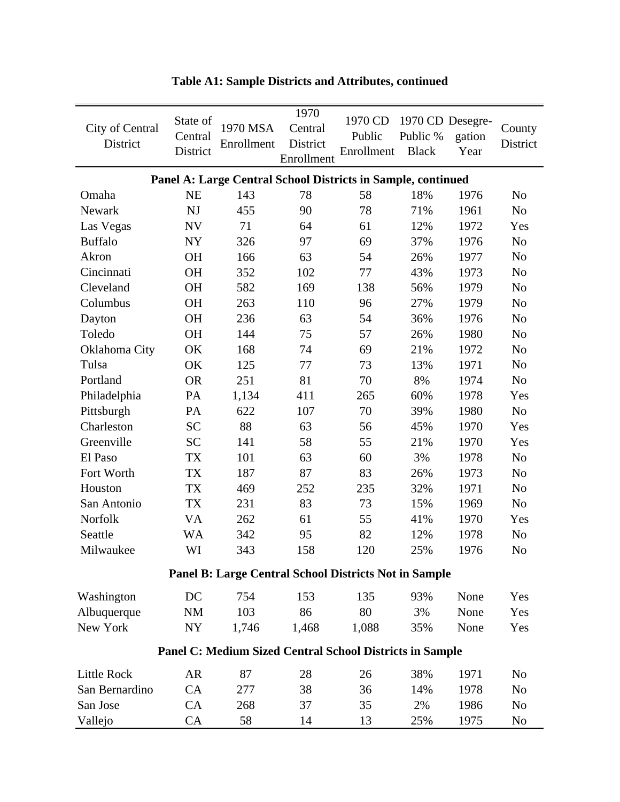| City of Central<br>District                                     | State of<br>Central<br>District | 1970 MSA<br>Enrollment                                       | 1970<br>Central<br>District<br>Enrollment | 1970 CD<br>Public<br>Enrollment | Public %<br><b>Black</b> | 1970 CD Desegre-<br>gation<br>Year | County<br>District |
|-----------------------------------------------------------------|---------------------------------|--------------------------------------------------------------|-------------------------------------------|---------------------------------|--------------------------|------------------------------------|--------------------|
|                                                                 |                                 | Panel A: Large Central School Districts in Sample, continued |                                           |                                 |                          |                                    |                    |
| Omaha                                                           | <b>NE</b>                       | 143                                                          | 78                                        | 58                              | 18%                      | 1976                               | N <sub>o</sub>     |
| Newark                                                          | <b>NJ</b>                       | 455                                                          | 90                                        | 78                              | 71%                      | 1961                               | No                 |
| Las Vegas                                                       | ${\rm NV}$                      | 71                                                           | 64                                        | 61                              | 12%                      | 1972                               | Yes                |
| <b>Buffalo</b>                                                  | NY                              | 326                                                          | 97                                        | 69                              | 37%                      | 1976                               | No                 |
| Akron                                                           | <b>OH</b>                       | 166                                                          | 63                                        | 54                              | 26%                      | 1977                               | No                 |
| Cincinnati                                                      | OH                              | 352                                                          | 102                                       | 77                              | 43%                      | 1973                               | No                 |
| Cleveland                                                       | <b>OH</b>                       | 582                                                          | 169                                       | 138                             | 56%                      | 1979                               | No                 |
| Columbus                                                        | OH                              | 263                                                          | 110                                       | 96                              | 27%                      | 1979                               | N <sub>o</sub>     |
| Dayton                                                          | <b>OH</b>                       | 236                                                          | 63                                        | 54                              | 36%                      | 1976                               | N <sub>o</sub>     |
| Toledo                                                          | OH                              | 144                                                          | 75                                        | 57                              | 26%                      | 1980                               | No                 |
| Oklahoma City                                                   | OK                              | 168                                                          | 74                                        | 69                              | 21%                      | 1972                               | N <sub>o</sub>     |
| Tulsa                                                           | OK                              | 125                                                          | 77                                        | 73                              | 13%                      | 1971                               | No                 |
| Portland                                                        | <b>OR</b>                       | 251                                                          | 81                                        | 70                              | 8%                       | 1974                               | No                 |
| Philadelphia                                                    | PA                              | 1,134                                                        | 411                                       | 265                             | 60%                      | 1978                               | Yes                |
| Pittsburgh                                                      | PA                              | 622                                                          | 107                                       | 70                              | 39%                      | 1980                               | No                 |
| Charleston                                                      | <b>SC</b>                       | 88                                                           | 63                                        | 56                              | 45%                      | 1970                               | Yes                |
| Greenville                                                      | <b>SC</b>                       | 141                                                          | 58                                        | 55                              | 21%                      | 1970                               | Yes                |
| El Paso                                                         | TX                              | 101                                                          | 63                                        | 60                              | 3%                       | 1978                               | No                 |
| Fort Worth                                                      | TX                              | 187                                                          | 87                                        | 83                              | 26%                      | 1973                               | No                 |
| Houston                                                         | TX                              | 469                                                          | 252                                       | 235                             | 32%                      | 1971                               | No                 |
| San Antonio                                                     | <b>TX</b>                       | 231                                                          | 83                                        | 73                              | 15%                      | 1969                               | No                 |
| Norfolk                                                         | VA                              | 262                                                          | 61                                        | 55                              | 41%                      | 1970                               | Yes                |
| Seattle                                                         | WA                              | 342                                                          | 95                                        | 82                              | 12%                      | 1978                               | No                 |
| Milwaukee                                                       | WI                              | 343                                                          | 158                                       | 120                             | 25%                      | 1976                               | N <sub>o</sub>     |
| <b>Panel B: Large Central School Districts Not in Sample</b>    |                                 |                                                              |                                           |                                 |                          |                                    |                    |
| Washington                                                      | DC                              | 754                                                          | 153                                       | 135                             | 93%                      | None                               | Yes                |
| Albuquerque                                                     | <b>NM</b>                       | 103                                                          | 86                                        | 80                              | 3%                       | None                               | Yes                |
| New York                                                        | NY                              | 1,746                                                        | 1,468                                     | 1,088                           | 35%                      | None                               | Yes                |
| <b>Panel C: Medium Sized Central School Districts in Sample</b> |                                 |                                                              |                                           |                                 |                          |                                    |                    |
|                                                                 |                                 |                                                              |                                           |                                 |                          |                                    |                    |
| Little Rock                                                     | <b>AR</b>                       | 87                                                           | 28                                        | 26                              | 38%                      | 1971                               | N <sub>o</sub>     |
| San Bernardino                                                  | CA                              | 277                                                          | 38                                        | 36                              | 14%                      | 1978                               | N <sub>o</sub>     |
| San Jose                                                        | CA                              | 268                                                          | 37                                        | 35                              | 2%                       | 1986                               | N <sub>o</sub>     |
| Vallejo                                                         | CA                              | 58                                                           | 14                                        | 13                              | 25%                      | 1975                               | N <sub>0</sub>     |

## **Table A1: Sample Districts and Attributes, continued**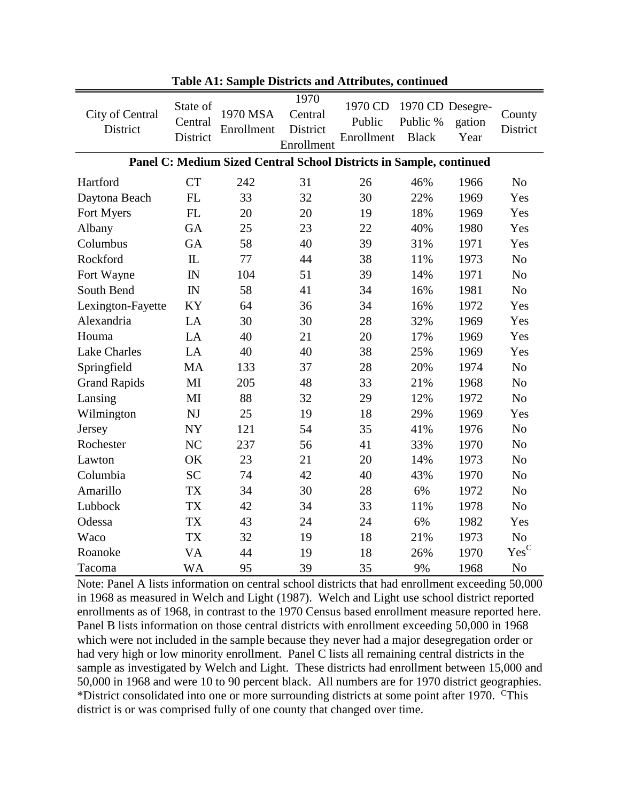| City of Central<br>District | State of<br>Central<br>District | 1970 MSA<br>Enrollment                                              | 1970<br>Central<br>District<br>Enrollment | 1970 CD<br>Public<br>Enrollment | 1970 CD Desegre-<br>Public %<br><b>Black</b> | gation<br>Year | County<br>District        |
|-----------------------------|---------------------------------|---------------------------------------------------------------------|-------------------------------------------|---------------------------------|----------------------------------------------|----------------|---------------------------|
|                             |                                 | Panel C: Medium Sized Central School Districts in Sample, continued |                                           |                                 |                                              |                |                           |
| Hartford                    | <b>CT</b>                       | 242                                                                 | 31                                        | 26                              | 46%                                          | 1966           | N <sub>o</sub>            |
| Daytona Beach               | FL                              | 33                                                                  | 32                                        | 30                              | 22%                                          | 1969           | Yes                       |
| Fort Myers                  | FL                              | 20                                                                  | 20                                        | 19                              | 18%                                          | 1969           | Yes                       |
| Albany                      | <b>GA</b>                       | 25                                                                  | 23                                        | 22                              | 40%                                          | 1980           | Yes                       |
| Columbus                    | GA                              | 58                                                                  | 40                                        | 39                              | 31%                                          | 1971           | Yes                       |
| Rockford                    | $\mathbf{L}$                    | 77                                                                  | 44                                        | 38                              | 11%                                          | 1973           | N <sub>o</sub>            |
| Fort Wayne                  | IN                              | 104                                                                 | 51                                        | 39                              | 14%                                          | 1971           | N <sub>o</sub>            |
| South Bend                  | IN                              | 58                                                                  | 41                                        | 34                              | 16%                                          | 1981           | N <sub>o</sub>            |
| Lexington-Fayette           | KY                              | 64                                                                  | 36                                        | 34                              | 16%                                          | 1972           | Yes                       |
| Alexandria                  | LA                              | 30                                                                  | 30                                        | 28                              | 32%                                          | 1969           | Yes                       |
| Houma                       | LA                              | 40                                                                  | 21                                        | 20                              | 17%                                          | 1969           | Yes                       |
| <b>Lake Charles</b>         | LA                              | 40                                                                  | 40                                        | 38                              | 25%                                          | 1969           | Yes                       |
| Springfield                 | <b>MA</b>                       | 133                                                                 | 37                                        | 28                              | 20%                                          | 1974           | N <sub>o</sub>            |
| <b>Grand Rapids</b>         | MI                              | 205                                                                 | 48                                        | 33                              | 21%                                          | 1968           | N <sub>o</sub>            |
| Lansing                     | MI                              | 88                                                                  | 32                                        | 29                              | 12%                                          | 1972           | N <sub>o</sub>            |
| Wilmington                  | NJ                              | 25                                                                  | 19                                        | 18                              | 29%                                          | 1969           | Yes                       |
| Jersey                      | <b>NY</b>                       | 121                                                                 | 54                                        | 35                              | 41%                                          | 1976           | No                        |
| Rochester                   | NC                              | 237                                                                 | 56                                        | 41                              | 33%                                          | 1970           | N <sub>o</sub>            |
| Lawton                      | OK                              | 23                                                                  | 21                                        | 20                              | 14%                                          | 1973           | N <sub>o</sub>            |
| Columbia                    | <b>SC</b>                       | 74                                                                  | 42                                        | 40                              | 43%                                          | 1970           | N <sub>o</sub>            |
| Amarillo                    | <b>TX</b>                       | 34                                                                  | 30                                        | 28                              | 6%                                           | 1972           | N <sub>o</sub>            |
| Lubbock                     | ${\rm TX}$                      | 42                                                                  | 34                                        | 33                              | 11%                                          | 1978           | N <sub>o</sub>            |
| Odessa                      | <b>TX</b>                       | 43                                                                  | 24                                        | 24                              | 6%                                           | 1982           | Yes                       |
| Waco                        | <b>TX</b>                       | 32                                                                  | 19                                        | 18                              | 21%                                          | 1973           | N <sub>o</sub>            |
| Roanoke                     | VA                              | 44                                                                  | 19                                        | 18                              | 26%                                          | 1970           | $\mathbf{Yes}^\mathbf{C}$ |
| Tacoma                      | <b>WA</b>                       | 95                                                                  | 39                                        | 35                              | 9%                                           | 1968           | N <sub>o</sub>            |

**Table A1: Sample Districts and Attributes, continued**

Note: Panel A lists information on central school districts that had enrollment exceeding 50,000 in 1968 as measured in Welch and Light (1987). Welch and Light use school district reported enrollments as of 1968, in contrast to the 1970 Census based enrollment measure reported here. Panel B lists information on those central districts with enrollment exceeding 50,000 in 1968 which were not included in the sample because they never had a major desegregation order or had very high or low minority enrollment. Panel C lists all remaining central districts in the sample as investigated by Welch and Light. These districts had enrollment between 15,000 and 50,000 in 1968 and were 10 to 90 percent black. All numbers are for 1970 district geographies. \*District consolidated into one or more surrounding districts at some point after 1970. CThis district is or was comprised fully of one county that changed over time.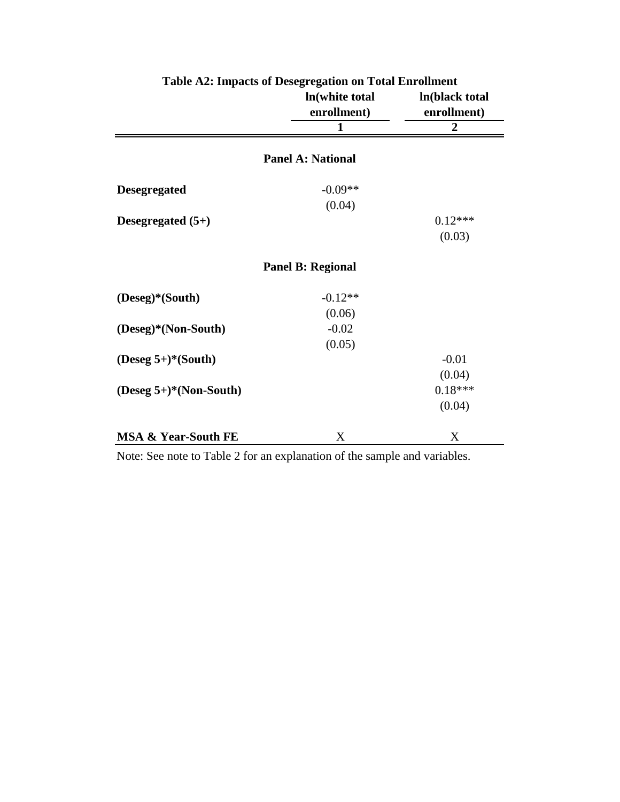|                                | In(white total<br>enrollment) | ln(black total<br>enrollment) |
|--------------------------------|-------------------------------|-------------------------------|
|                                | 1                             | $\overline{2}$                |
|                                | <b>Panel A: National</b>      |                               |
| <b>Desegregated</b>            | $-0.09**$                     |                               |
|                                | (0.04)                        |                               |
| Desegregated $(5+)$            |                               | $0.12***$                     |
|                                |                               | (0.03)                        |
|                                | <b>Panel B: Regional</b>      |                               |
| (Deseg)*(South)                | $-0.12**$                     |                               |
|                                | (0.06)                        |                               |
| (Deseg)*(Non-South)            | $-0.02$                       |                               |
|                                | (0.05)                        |                               |
| (Deseg $5+$ )*(South)          |                               | $-0.01$                       |
|                                |                               | (0.04)                        |
| $(Deseg 5+)*(Non-South)$       |                               | $0.18***$                     |
|                                |                               | (0.04)                        |
| <b>MSA &amp; Year-South FE</b> | X                             | X                             |

**Table A2: Impacts of Desegregation on Total Enrollment**

Note: See note to Table 2 for an explanation of the sample and variables.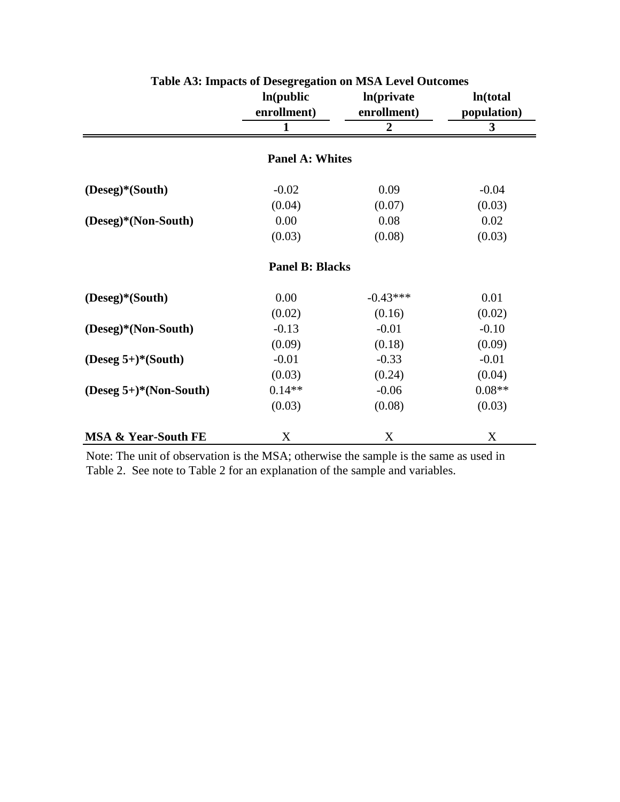|                                | ln(public)<br>enrollment) | ln(private<br>enrollment) | In(total<br>population) |  |
|--------------------------------|---------------------------|---------------------------|-------------------------|--|
|                                | $\mathbf{1}$              | $\overline{2}$            | 3                       |  |
|                                | <b>Panel A: Whites</b>    |                           |                         |  |
| (Deseg)*(South)                | $-0.02$                   | 0.09                      | $-0.04$                 |  |
|                                | (0.04)                    | (0.07)                    | (0.03)                  |  |
| (Deseg)*(Non-South)            | 0.00                      | 0.08                      | 0.02                    |  |
|                                | (0.03)                    | (0.08)                    | (0.03)                  |  |
|                                | <b>Panel B: Blacks</b>    |                           |                         |  |
| (Deseg)*(South)                | 0.00                      | $-0.43***$                | 0.01                    |  |
|                                | (0.02)                    | (0.16)                    | (0.02)                  |  |
| (Deseg)*(Non-South)            | $-0.13$                   | $-0.01$                   | $-0.10$                 |  |
|                                | (0.09)                    | (0.18)                    | (0.09)                  |  |
| $(Deseg 5+)*(South)$           | $-0.01$                   | $-0.33$                   | $-0.01$                 |  |
|                                | (0.03)                    | (0.24)                    | (0.04)                  |  |
| $(Deseg 5+)*(Non-South)$       | $0.14**$                  | $-0.06$                   | $0.08**$                |  |
|                                | (0.03)                    | (0.08)                    | (0.03)                  |  |
| <b>MSA &amp; Year-South FE</b> | X                         | X                         | X                       |  |

**Table A3: Impacts of Desegregation on MSA Level Outcomes**

Note: The unit of observation is the MSA; otherwise the sample is the same as used in Table 2. See note to Table 2 for an explanation of the sample and variables.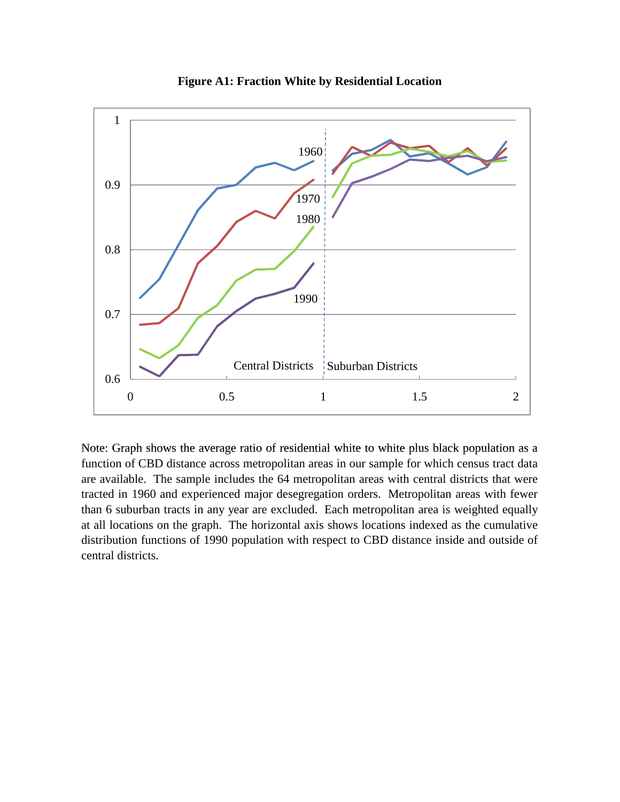

**Figure A1: Fraction White by Residential Location**

Note: Graph shows the average ratio of residential white to white plus black population as a function of CBD distance across metropolitan areas in our sample for which census tract data are available. The sample includes the 64 metropolitan areas with central districts that were tracted in 1960 and experienced major desegregation orders. Metropolitan areas with fewer than 6 suburban tracts in any year are excluded. Each metropolitan area is weighted equally at all locations on the graph. The horizontal axis shows locations indexed as the cumulative distribution functions of 1990 population with respect to CBD distance inside and outside of central districts.